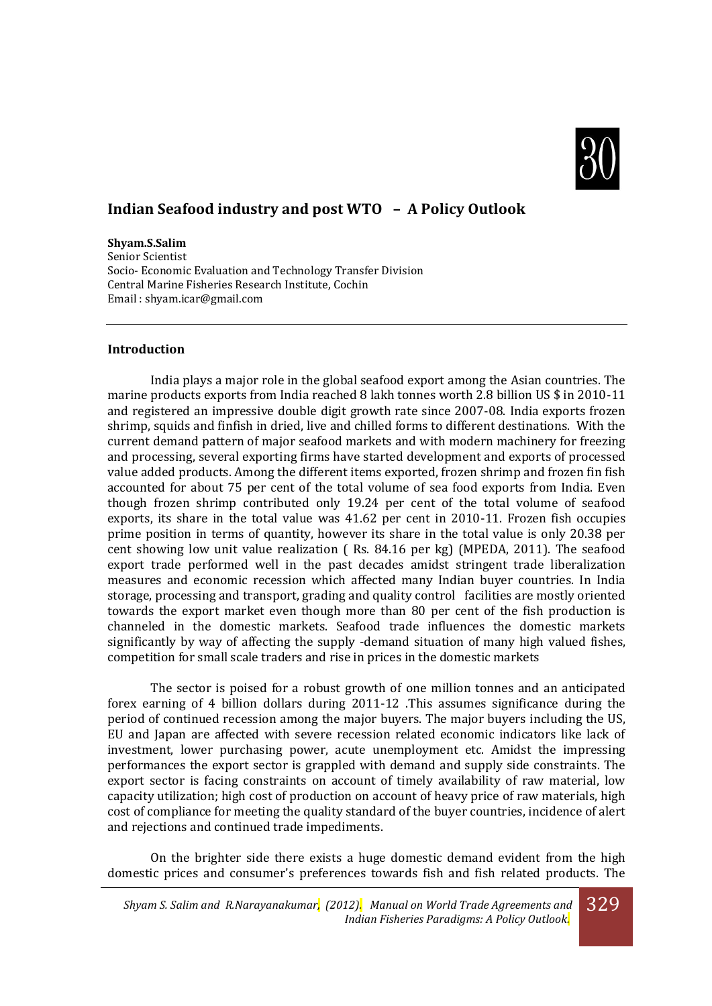

# **Indian Seafood industry and post WTO – A Policy Outlook**

**Shyam.S.Salim**

Senior Scientist Socio- Economic Evaluation and Technology Transfer Division Central Marine Fisheries Research Institute, Cochin Email [: shyam.icar@gmail.com](mailto:shyam.icar@gmail.com)

#### **Introduction**

 India plays a major role in the global seafood export among the Asian countries. The marine products exports from India reached 8 lakh tonnes worth 2.8 billion US \$ in 2010-11 and registered an impressive double digit growth rate since 2007-08. India exports frozen shrimp, squids and finfish in dried, live and chilled forms to different destinations. With the current demand pattern of major seafood markets and with modern machinery for freezing and processing, several exporting firms have started development and exports of processed value added products. Among the different items exported, frozen shrimp and frozen fin fish accounted for about 75 per cent of the total volume of sea food exports from India. Even though frozen shrimp contributed only 19.24 per cent of the total volume of seafood exports, its share in the total value was 41.62 per cent in 2010-11. Frozen fish occupies prime position in terms of quantity, however its share in the total value is only 20.38 per cent showing low unit value realization ( Rs. 84.16 per kg) (MPEDA, 2011). The seafood export trade performed well in the past decades amidst stringent trade liberalization measures and economic recession which affected many Indian buyer countries. In India storage, processing and transport, grading and quality control facilities are mostly oriented towards the export market even though more than 80 per cent of the fish production is channeled in the domestic markets. Seafood trade influences the domestic markets significantly by way of affecting the supply -demand situation of many high valued fishes, competition for small scale traders and rise in prices in the domestic markets

The sector is poised for a robust growth of one million tonnes and an anticipated forex earning of 4 billion dollars during 2011-12 .This assumes significance during the period of continued recession among the major buyers. The major buyers including the US, EU and Japan are affected with severe recession related economic indicators like lack of investment, lower purchasing power, acute unemployment etc. Amidst the impressing performances the export sector is grappled with demand and supply side constraints. The export sector is facing constraints on account of timely availability of raw material, low capacity utilization; high cost of production on account of heavy price of raw materials, high cost of compliance for meeting the quality standard of the buyer countries, incidence of alert and rejections and continued trade impediments.

On the brighter side there exists a huge domestic demand evident from the high domestic prices and consumer's preferences towards fish and fish related products. The

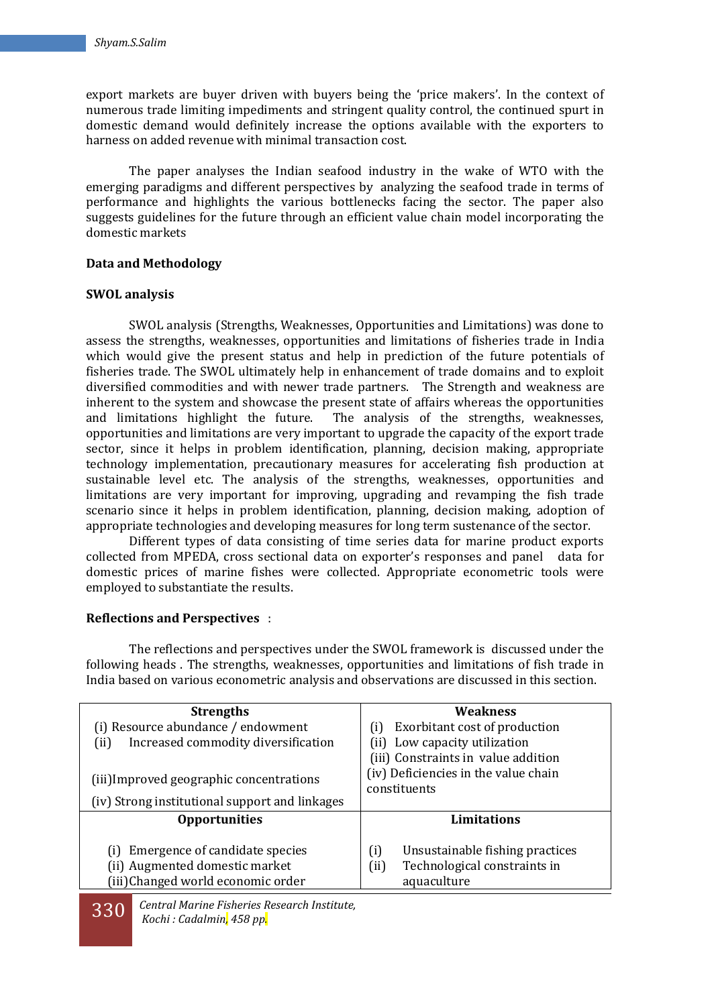export markets are buyer driven with buyers being the 'price makers'. In the context of numerous trade limiting impediments and stringent quality control, the continued spurt in domestic demand would definitely increase the options available with the exporters to harness on added revenue with minimal transaction cost.

The paper analyses the Indian seafood industry in the wake of WTO with the emerging paradigms and different perspectives by analyzing the seafood trade in terms of performance and highlights the various bottlenecks facing the sector. The paper also suggests guidelines for the future through an efficient value chain model incorporating the domestic markets

#### **Data and Methodology**

#### **SWOL analysis**

SWOL analysis (Strengths, Weaknesses, Opportunities and Limitations) was done to assess the strengths, weaknesses, opportunities and limitations of fisheries trade in India which would give the present status and help in prediction of the future potentials of fisheries trade. The SWOL ultimately help in enhancement of trade domains and to exploit diversified commodities and with newer trade partners. The Strength and weakness are inherent to the system and showcase the present state of affairs whereas the opportunities and limitations highlight the future. The analysis of the strengths, weaknesses, opportunities and limitations are very important to upgrade the capacity of the export trade sector, since it helps in problem identification, planning, decision making, appropriate technology implementation, precautionary measures for accelerating fish production at sustainable level etc. The analysis of the strengths, weaknesses, opportunities and limitations are very important for improving, upgrading and revamping the fish trade scenario since it helps in problem identification, planning, decision making, adoption of appropriate technologies and developing measures for long term sustenance of the sector.

 Different types of data consisting of time series data for marine product exports collected from MPEDA, cross sectional data on exporter's responses and panel data for domestic prices of marine fishes were collected. Appropriate econometric tools were employed to substantiate the results.

#### **Reflections and Perspectives** :

The reflections and perspectives under the SWOL framework is discussed under the following heads . The strengths, weaknesses, opportunities and limitations of fish trade in India based on various econometric analysis and observations are discussed in this section.

| <b>Strengths</b><br>(i) Resource abundance / endowment<br>Increased commodity diversification<br>(ii)<br>(iii) Improved geographic concentrations | <b>Weakness</b><br>Exorbitant cost of production<br>(i)<br>(ii) Low capacity utilization<br>(iii) Constraints in value addition<br>(iv) Deficiencies in the value chain<br>constituents |
|---------------------------------------------------------------------------------------------------------------------------------------------------|-----------------------------------------------------------------------------------------------------------------------------------------------------------------------------------------|
| (iv) Strong institutional support and linkages<br><b>Opportunities</b>                                                                            | <b>Limitations</b>                                                                                                                                                                      |
| Emergence of candidate species<br>(i)<br>(ii) Augmented domestic market<br>(iii)Changed world economic order                                      | (i)<br>Unsustainable fishing practices<br>Technological constraints in<br>(ii)<br>aquaculture                                                                                           |

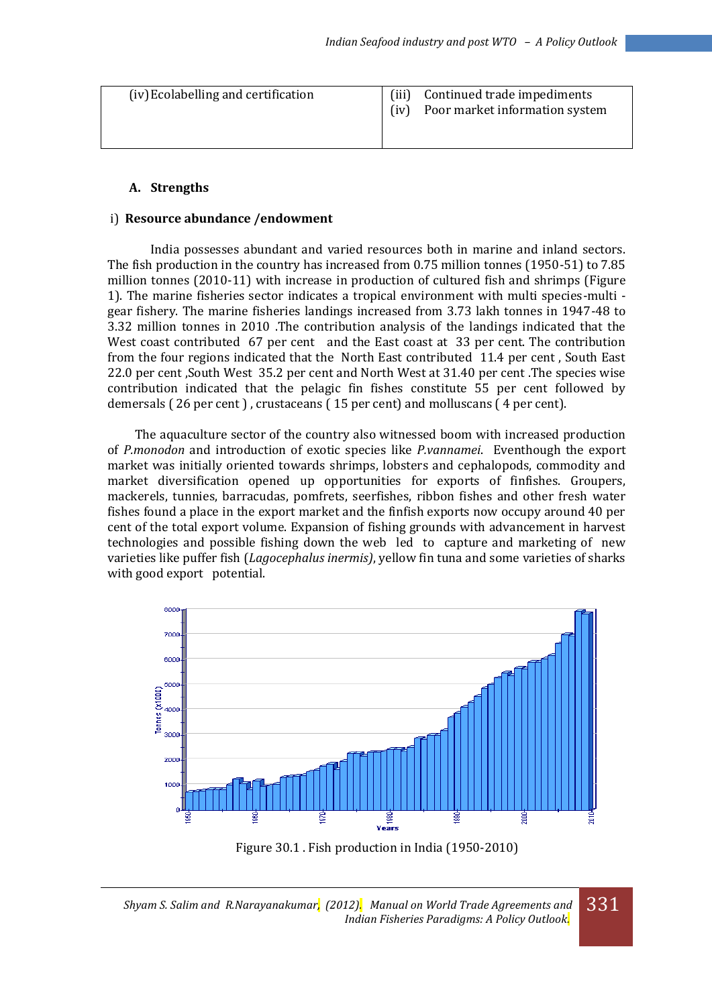| (iv) Ecolabelling and certification | (iii)<br>(iv) | Continued trade impediments<br>Poor market information system |
|-------------------------------------|---------------|---------------------------------------------------------------|
|                                     |               |                                                               |

### **A. Strengths**

#### i) **Resource abundance /endowment**

India possesses abundant and varied resources both in marine and inland sectors. The fish production in the country has increased from 0.75 million tonnes (1950-51) to 7.85 million tonnes (2010-11) with increase in production of cultured fish and shrimps (Figure 1). The marine fisheries sector indicates a tropical environment with multi species-multi gear fishery. The marine fisheries landings increased from 3.73 lakh tonnes in 1947-48 to 3.32 million tonnes in 2010 .The contribution analysis of the landings indicated that the West coast contributed 67 per cent and the East coast at 33 per cent. The contribution from the four regions indicated that the North East contributed 11.4 per cent , South East 22.0 per cent ,South West 35.2 per cent and North West at 31.40 per cent .The species wise contribution indicated that the pelagic fin fishes constitute 55 per cent followed by demersals ( 26 per cent ) , crustaceans ( 15 per cent) and molluscans ( 4 per cent).

 The aquaculture sector of the country also witnessed boom with increased production of *P.monodon* and introduction of exotic species like *P.vannamei*. Eventhough the export market was initially oriented towards shrimps, lobsters and cephalopods, commodity and market diversification opened up opportunities for exports of finfishes. Groupers, mackerels, tunnies, barracudas, pomfrets, seerfishes, ribbon fishes and other fresh water fishes found a place in the export market and the finfish exports now occupy around 40 per cent of the total export volume. Expansion of fishing grounds with advancement in harvest technologies and possible fishing down the web led to capture and marketing of new varieties like puffer fish (*Lagocephalus inermis)*, yellow fin tuna and some varieties of sharks with good export potential.



Figure 30.1 . Fish production in India (1950-2010)

*Shyam S. Salim and R.Narayanakumar, (2012). Manual on World Trade Agreements and Indian Fisheries Paradigms: A Policy Outlook.*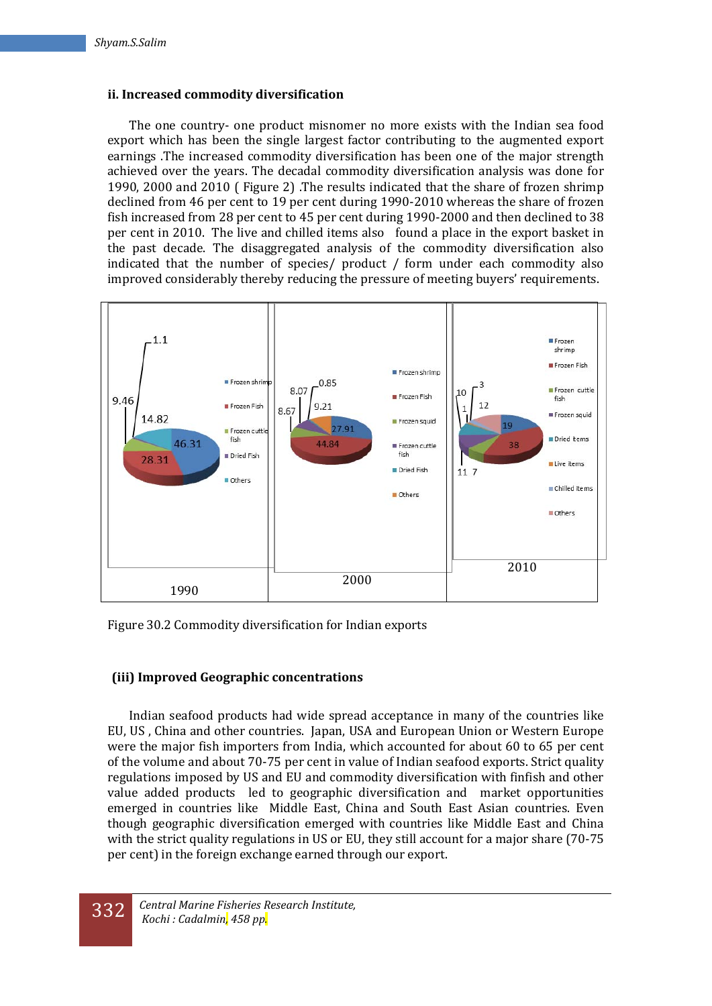### **ii. Increased commodity diversification**

The one country- one product misnomer no more exists with the Indian sea food export which has been the single largest factor contributing to the augmented export earnings .The increased commodity diversification has been one of the major strength achieved over the years. The decadal commodity diversification analysis was done for 1990, 2000 and 2010 ( Figure 2) .The results indicated that the share of frozen shrimp declined from 46 per cent to 19 per cent during 1990-2010 whereas the share of frozen fish increased from 28 per cent to 45 per cent during 1990-2000 and then declined to 38 per cent in 2010. The live and chilled items also found a place in the export basket in the past decade. The disaggregated analysis of the commodity diversification also indicated that the number of species/ product / form under each commodity also improved considerably thereby reducing the pressure of meeting buyers' requirements.



Figure 30.2 Commodity diversification for Indian exports

## **(iii) Improved Geographic concentrations**

Indian seafood products had wide spread acceptance in many of the countries like EU, US , China and other countries. Japan, USA and European Union or Western Europe were the major fish importers from India, which accounted for about 60 to 65 per cent of the volume and about 70-75 per cent in value of Indian seafood exports. Strict quality regulations imposed by US and EU and commodity diversification with finfish and other value added products led to geographic diversification and market opportunities emerged in countries like Middle East, China and South East Asian countries. Even though geographic diversification emerged with countries like Middle East and China with the strict quality regulations in US or EU, they still account for a major share (70-75 per cent) in the foreign exchange earned through our export.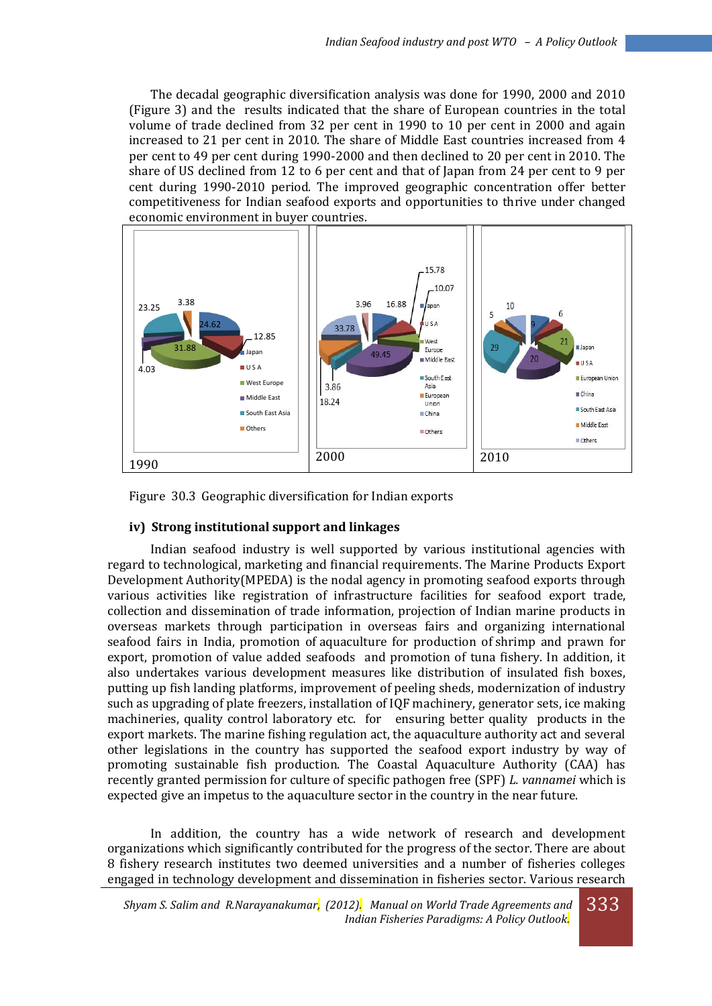The decadal geographic diversification analysis was done for 1990, 2000 and 2010 (Figure 3) and the results indicated that the share of European countries in the total volume of trade declined from 32 per cent in 1990 to 10 per cent in 2000 and again increased to 21 per cent in 2010. The share of Middle East countries increased from 4 per cent to 49 per cent during 1990-2000 and then declined to 20 per cent in 2010. The share of US declined from 12 to 6 per cent and that of Japan from 24 per cent to 9 per cent during 1990-2010 period. The improved geographic concentration offer better competitiveness for Indian seafood exports and opportunities to thrive under changed economic environment in buyer countries.



Figure 30.3 Geographic diversification for Indian exports

#### **iv) Strong institutional support and linkages**

 Indian seafood industry is well supported by various institutional agencies with regard to technological, marketing and financial requirements. The Marine Products Export Development Authority(MPEDA) is the nodal agency in promoting seafood exports through various activities like registration of infrastructure facilities for seafood export trade, collection and dissemination of trade information, projection of Indian marine products in overseas markets through participation in overseas fairs and organizing international seafood fairs in India, promotion of aquaculture for production of shrimp and prawn for export, promotion of value added seafoods and promotion of tuna fishery. In addition, it also undertakes various development measures like distribution of insulated fish boxes, putting up fish landing platforms, improvement of peeling sheds, modernization of industry such as upgrading of plate freezers, installation of IQF machinery, generator sets, ice making machineries, quality control laboratory etc. for ensuring better quality products in the export markets. The marine fishing regulation act, the aquaculture authority act and several other legislations in the country has supported the seafood export industry by way of promoting sustainable fish production. The Coastal Aquaculture Authority (CAA) has recently granted permission for culture of specific pathogen free (SPF) *L. vannamei* which is expected give an impetus to the aquaculture sector in the country in the near future.

In addition, the country has a wide network of research and development organizations which significantly contributed for the progress of the sector. There are about 8 fishery research institutes two deemed universities and a number of fisheries colleges engaged in technology development and dissemination in fisheries sector. Various research

*Shyam S. Salim and R.Narayanakumar, (2012). Manual on World Trade Agreements and Indian Fisheries Paradigms: A Policy Outlook.* 333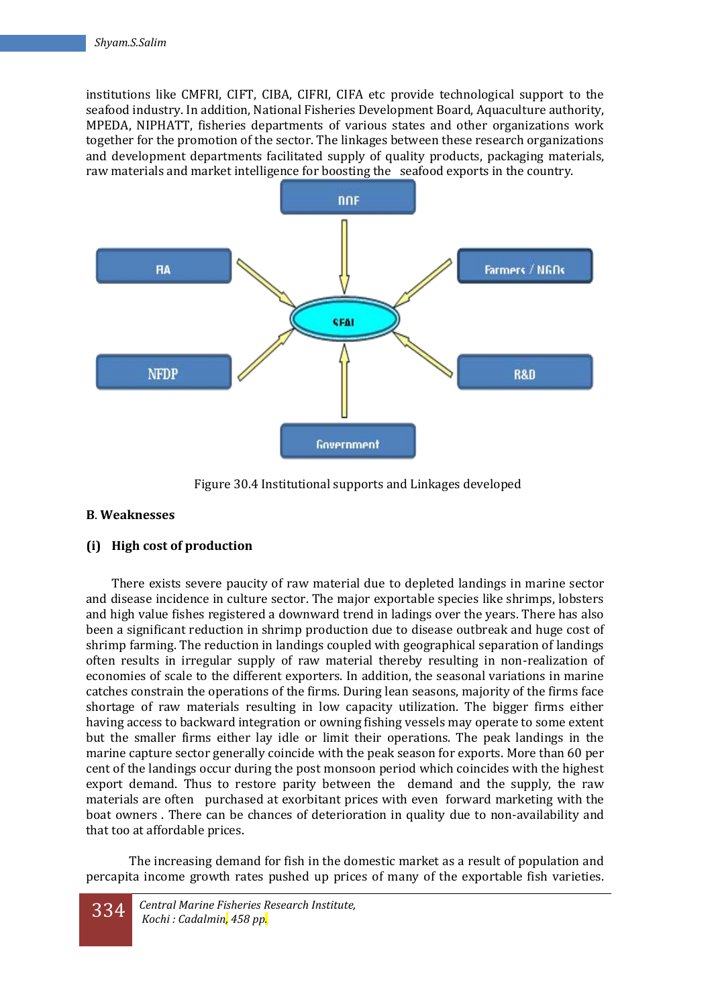institutions like CMFRI, CIFT, CIBA, CIFRI, CIFA etc provide technological support to the seafood industry. In addition, National Fisheries Development Board, Aquaculture authority, MPEDA, NIPHATT, fisheries departments of various states and other organizations work together for the promotion of the sector. The linkages between these research organizations and development departments facilitated supply of quality products, packaging materials, raw materials and market intelligence for boosting the seafood exports in the country.



Figure 30.4 Institutional supports and Linkages developed

## **B**. **Weaknesses**

## **(i) High cost of production**

There exists severe paucity of raw material due to depleted landings in marine sector and disease incidence in culture sector. The major exportable species like shrimps, lobsters and high value fishes registered a downward trend in ladings over the years. There has also been a significant reduction in shrimp production due to disease outbreak and huge cost of shrimp farming. The reduction in landings coupled with geographical separation of landings often results in irregular supply of raw material thereby resulting in non-realization of economies of scale to the different exporters. In addition, the seasonal variations in marine catches constrain the operations of the firms. During lean seasons, majority of the firms face shortage of raw materials resulting in low capacity utilization. The bigger firms either having access to backward integration or owning fishing vessels may operate to some extent but the smaller firms either lay idle or limit their operations. The peak landings in the marine capture sector generally coincide with the peak season for exports. More than 60 per cent of the landings occur during the post monsoon period which coincides with the highest export demand. Thus to restore parity between the demand and the supply, the raw materials are often purchased at exorbitant prices with even forward marketing with the boat owners . There can be chances of deterioration in quality due to non-availability and that too at affordable prices.

 The increasing demand for fish in the domestic market as a result of population and percapita income growth rates pushed up prices of many of the exportable fish varieties.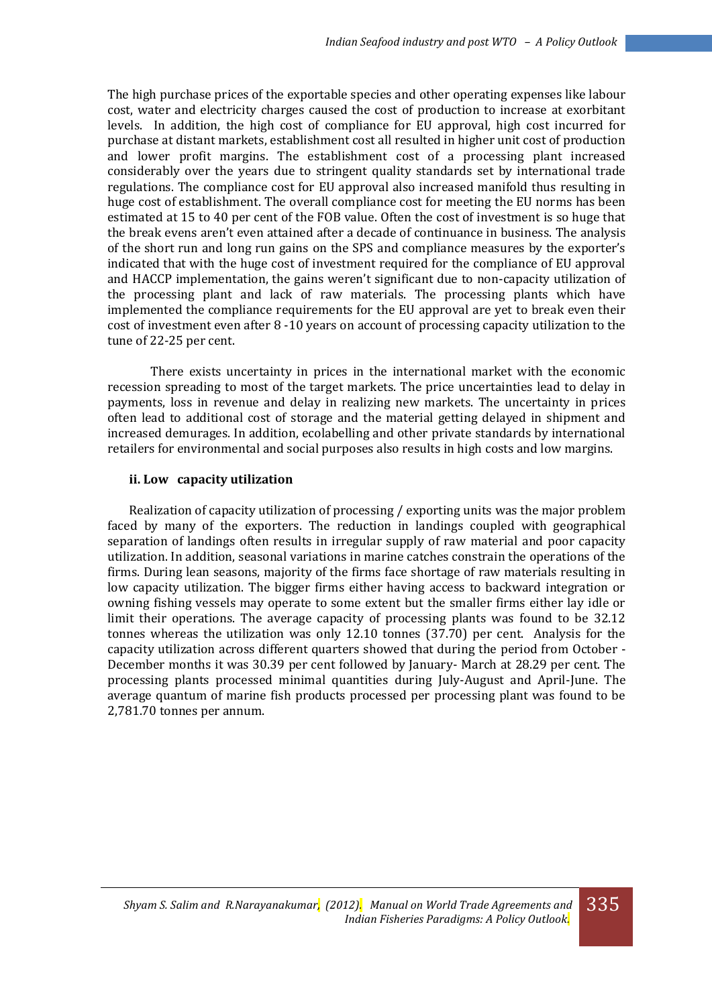The high purchase prices of the exportable species and other operating expenses like labour cost, water and electricity charges caused the cost of production to increase at exorbitant levels. In addition, the high cost of compliance for EU approval, high cost incurred for purchase at distant markets, establishment cost all resulted in higher unit cost of production and lower profit margins. The establishment cost of a processing plant increased considerably over the years due to stringent quality standards set by international trade regulations. The compliance cost for EU approval also increased manifold thus resulting in huge cost of establishment. The overall compliance cost for meeting the EU norms has been estimated at 15 to 40 per cent of the FOB value. Often the cost of investment is so huge that the break evens aren't even attained after a decade of continuance in business. The analysis of the short run and long run gains on the SPS and compliance measures by the exporter's indicated that with the huge cost of investment required for the compliance of EU approval and HACCP implementation, the gains weren't significant due to non-capacity utilization of the processing plant and lack of raw materials. The processing plants which have implemented the compliance requirements for the EU approval are yet to break even their cost of investment even after 8 -10 years on account of processing capacity utilization to the tune of 22-25 per cent.

There exists uncertainty in prices in the international market with the economic recession spreading to most of the target markets. The price uncertainties lead to delay in payments, loss in revenue and delay in realizing new markets. The uncertainty in prices often lead to additional cost of storage and the material getting delayed in shipment and increased demurages. In addition, ecolabelling and other private standards by international retailers for environmental and social purposes also results in high costs and low margins.

### **ii. Low capacity utilization**

Realization of capacity utilization of processing / exporting units was the major problem faced by many of the exporters. The reduction in landings coupled with geographical separation of landings often results in irregular supply of raw material and poor capacity utilization. In addition, seasonal variations in marine catches constrain the operations of the firms. During lean seasons, majority of the firms face shortage of raw materials resulting in low capacity utilization. The bigger firms either having access to backward integration or owning fishing vessels may operate to some extent but the smaller firms either lay idle or limit their operations. The average capacity of processing plants was found to be 32.12 tonnes whereas the utilization was only 12.10 tonnes (37.70) per cent. Analysis for the capacity utilization across different quarters showed that during the period from October - December months it was 30.39 per cent followed by January- March at 28.29 per cent. The processing plants processed minimal quantities during July-August and April-June. The average quantum of marine fish products processed per processing plant was found to be 2,781.70 tonnes per annum.

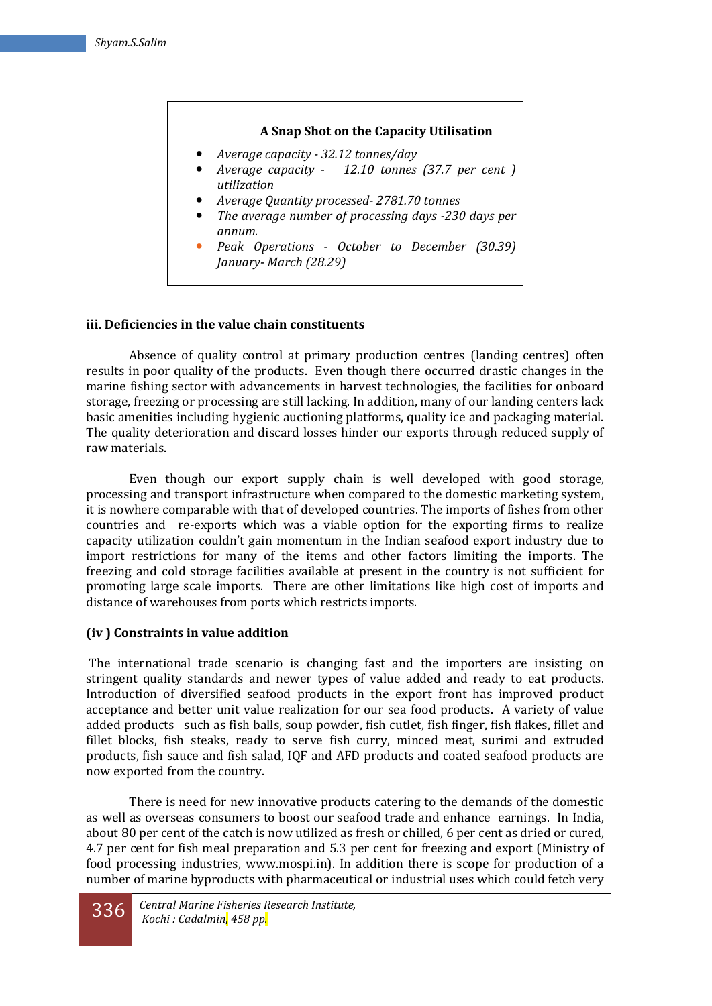## **A Snap Shot on the Capacity Utilisation**

- *Average capacity - 32.12 tonnes/day*
- *Average capacity 12.10 tonnes (37.7 per cent ) utilization*
- *Average Quantity processed- 2781.70 tonnes*
- *The average number of processing days -230 days per annum.*
- *Peak Operations - October to December (30.39) January- March (28.29)*

### **iii. Deficiencies in the value chain constituents**

Absence of quality control at primary production centres (landing centres) often results in poor quality of the products. Even though there occurred drastic changes in the marine fishing sector with advancements in harvest technologies, the facilities for onboard storage, freezing or processing are still lacking. In addition, many of our landing centers lack basic amenities including hygienic auctioning platforms, quality ice and packaging material. The quality deterioration and discard losses hinder our exports through reduced supply of raw materials.

Even though our export supply chain is well developed with good storage, processing and transport infrastructure when compared to the domestic marketing system, it is nowhere comparable with that of developed countries. The imports of fishes from other countries and re-exports which was a viable option for the exporting firms to realize capacity utilization couldn't gain momentum in the Indian seafood export industry due to import restrictions for many of the items and other factors limiting the imports. The freezing and cold storage facilities available at present in the country is not sufficient for promoting large scale imports. There are other limitations like high cost of imports and distance of warehouses from ports which restricts imports.

## **(iv ) Constraints in value addition**

 The international trade scenario is changing fast and the importers are insisting on stringent quality standards and newer types of value added and ready to eat products. Introduction of diversified seafood products in the export front has improved product acceptance and better unit value realization for our sea food products. A variety of value added products such as fish balls, soup powder, fish cutlet, fish finger, fish flakes, fillet and fillet blocks, fish steaks, ready to serve fish curry, minced meat, surimi and extruded products, fish sauce and fish salad, IQF and AFD products and coated seafood products are now exported from the country.

There is need for new innovative products catering to the demands of the domestic as well as overseas consumers to boost our seafood trade and enhance earnings. In India, about 80 per cent of the catch is now utilized as fresh or chilled, 6 per cent as dried or cured, 4.7 per cent for fish meal preparation and 5.3 per cent for freezing and export (Ministry of food processing industries, www.mospi.in). In addition there is scope for production of a number of marine byproducts with pharmaceutical or industrial uses which could fetch very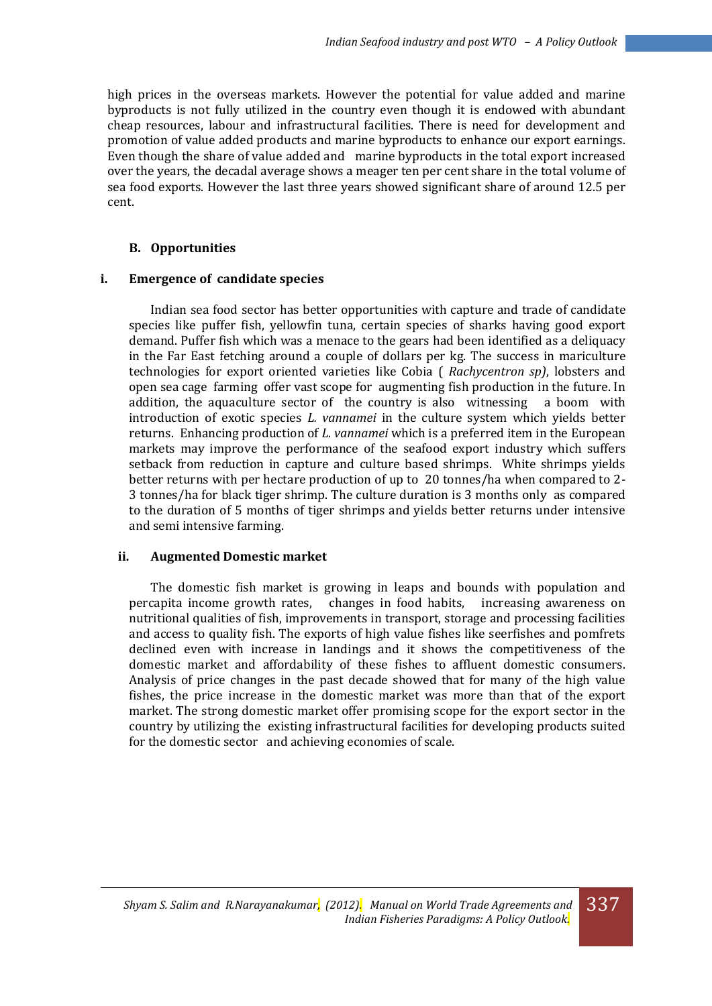high prices in the overseas markets. However the potential for value added and marine byproducts is not fully utilized in the country even though it is endowed with abundant cheap resources, labour and infrastructural facilities. There is need for development and promotion of value added products and marine byproducts to enhance our export earnings. Even though the share of value added and marine byproducts in the total export increased over the years, the decadal average shows a meager ten per cent share in the total volume of sea food exports. However the last three years showed significant share of around 12.5 per cent.

### **B. Opportunities**

### **i. Emergence of candidate species**

Indian sea food sector has better opportunities with capture and trade of candidate species like puffer fish, yellowfin tuna, certain species of sharks having good export demand. Puffer fish which was a menace to the gears had been identified as a deliquacy in the Far East fetching around a couple of dollars per kg. The success in mariculture technologies for export oriented varieties like Cobia ( *Rachycentron sp)*, lobsters and open sea cage farming offer vast scope for augmenting fish production in the future. In addition, the aquaculture sector of the country is also witnessing a boom with introduction of exotic species *L. vannamei* in the culture system which yields better returns. Enhancing production of *L. vannamei* which is a preferred item in the European markets may improve the performance of the seafood export industry which suffers setback from reduction in capture and culture based shrimps. White shrimps yields better returns with per hectare production of up to 20 tonnes/ha when compared to 2- 3 tonnes/ha for black tiger shrimp. The culture duration is 3 months only as compared to the duration of 5 months of tiger shrimps and yields better returns under intensive and semi intensive farming.

## **ii. Augmented Domestic market**

The domestic fish market is growing in leaps and bounds with population and percapita income growth rates, changes in food habits, increasing awareness on nutritional qualities of fish, improvements in transport, storage and processing facilities and access to quality fish. The exports of high value fishes like seerfishes and pomfrets declined even with increase in landings and it shows the competitiveness of the domestic market and affordability of these fishes to affluent domestic consumers. Analysis of price changes in the past decade showed that for many of the high value fishes, the price increase in the domestic market was more than that of the export market. The strong domestic market offer promising scope for the export sector in the country by utilizing the existing infrastructural facilities for developing products suited for the domestic sector and achieving economies of scale.

337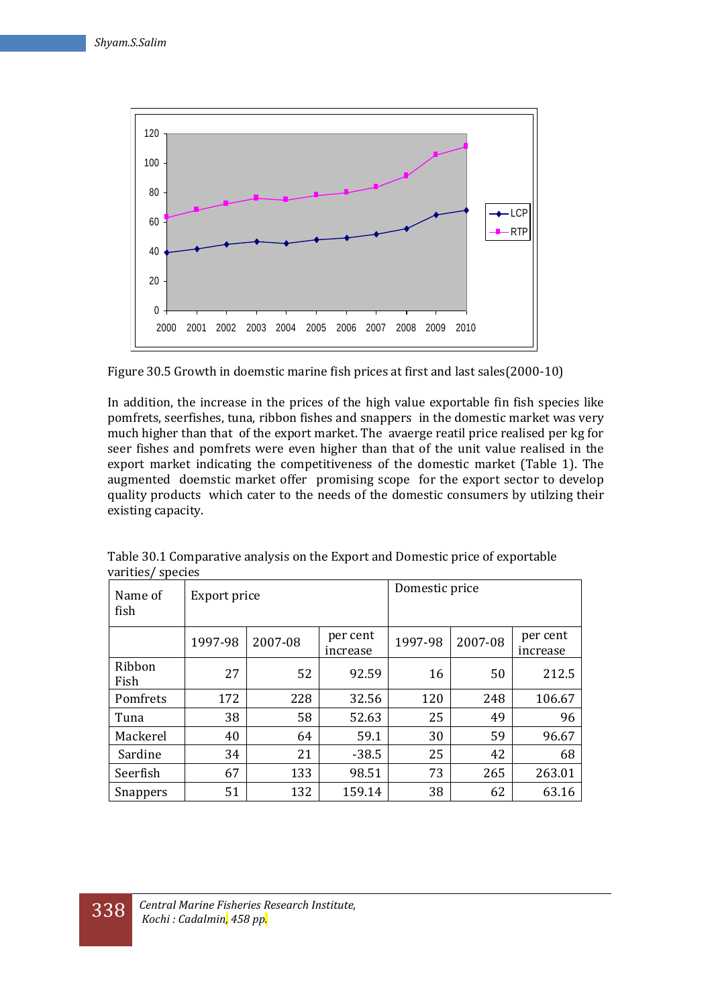

Figure 30.5 Growth in doemstic marine fish prices at first and last sales(2000-10)

In addition, the increase in the prices of the high value exportable fin fish species like pomfrets, seerfishes, tuna, ribbon fishes and snappers in the domestic market was very much higher than that of the export market. The avaerge reatil price realised per kg for seer fishes and pomfrets were even higher than that of the unit value realised in the export market indicating the competitiveness of the domestic market (Table 1). The augmented doemstic market offer promising scope for the export sector to develop quality products which cater to the needs of the domestic consumers by utilzing their existing capacity.

| Name of<br>fish | Export price |         |                      | Domestic price |         |                      |
|-----------------|--------------|---------|----------------------|----------------|---------|----------------------|
|                 | 1997-98      | 2007-08 | per cent<br>increase | 1997-98        | 2007-08 | per cent<br>increase |
| Ribbon<br>Fish  | 27           | 52      | 92.59                | 16             | 50      | 212.5                |
| Pomfrets        | 172          | 228     | 32.56                | 120            | 248     | 106.67               |
| Tuna            | 38           | 58      | 52.63                | 25             | 49      | 96                   |
| Mackerel        | 40           | 64      | 59.1                 | 30             | 59      | 96.67                |
| Sardine         | 34           | 21      | $-38.5$              | 25             | 42      | 68                   |
| Seerfish        | 67           | 133     | 98.51                | 73             | 265     | 263.01               |
| Snappers        | 51           | 132     | 159.14               | 38             | 62      | 63.16                |

Table 30.1 Comparative analysis on the Export and Domestic price of exportable varities/ species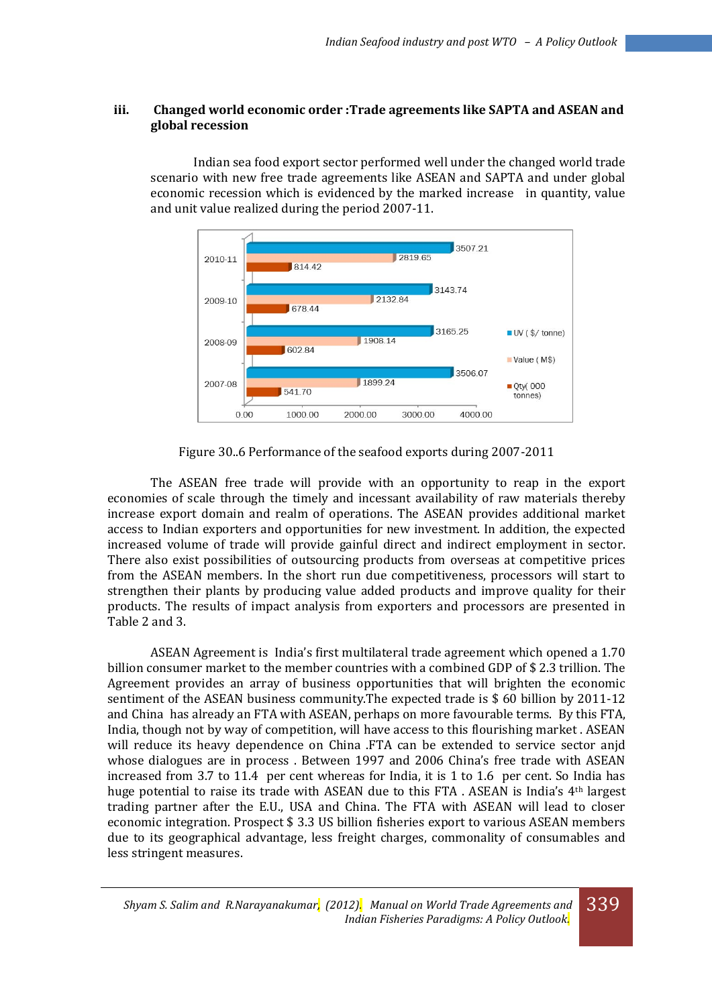## **iii. Changed world economic order :Trade agreements like SAPTA and ASEAN and global recession**

Indian sea food export sector performed well under the changed world trade scenario with new free trade agreements like ASEAN and SAPTA and under global economic recession which is evidenced by the marked increase in quantity, value and unit value realized during the period 2007-11.



Figure 30..6 Performance of the seafood exports during 2007-2011

The ASEAN free trade will provide with an opportunity to reap in the export economies of scale through the timely and incessant availability of raw materials thereby increase export domain and realm of operations. The ASEAN provides additional market access to Indian exporters and opportunities for new investment. In addition, the expected increased volume of trade will provide gainful direct and indirect employment in sector. There also exist possibilities of outsourcing products from overseas at competitive prices from the ASEAN members. In the short run due competitiveness, processors will start to strengthen their plants by producing value added products and improve quality for their products. The results of impact analysis from exporters and processors are presented in Table 2 and 3.

ASEAN Agreement is India's first multilateral trade agreement which opened a 1.70 billion consumer market to the member countries with a combined GDP of \$ 2.3 trillion. The Agreement provides an array of business opportunities that will brighten the economic sentiment of the ASEAN business community.The expected trade is \$ 60 billion by 2011-12 and China has already an FTA with ASEAN, perhaps on more favourable terms. By this FTA, India, though not by way of competition, will have access to this flourishing market . ASEAN will reduce its heavy dependence on China .FTA can be extended to service sector anjd whose dialogues are in process . Between 1997 and 2006 China's free trade with ASEAN increased from 3.7 to 11.4 per cent whereas for India, it is 1 to 1.6 per cent. So India has huge potential to raise its trade with ASEAN due to this FTA. ASEAN is India's 4<sup>th</sup> largest trading partner after the E.U., USA and China. The FTA with ASEAN will lead to closer economic integration. Prospect \$ 3.3 US billion fisheries export to various ASEAN members due to its geographical advantage, less freight charges, commonality of consumables and less stringent measures.

339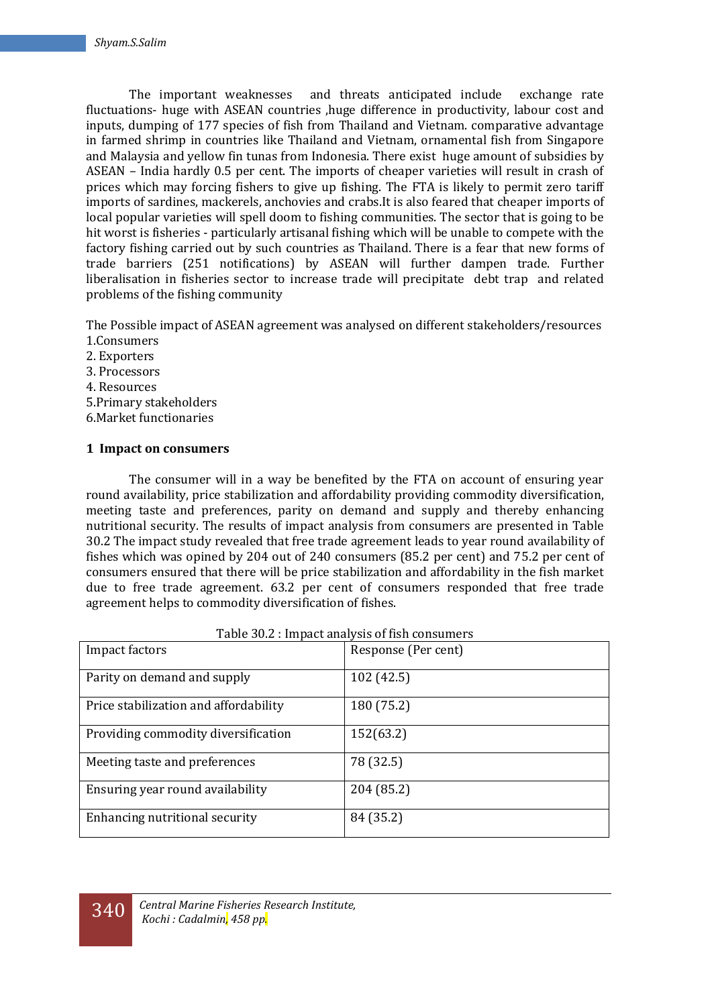The important weaknesses and threats anticipated include exchange rate fluctuations- huge with ASEAN countries ,huge difference in productivity, labour cost and inputs, dumping of 177 species of fish from Thailand and Vietnam. comparative advantage in farmed shrimp in countries like Thailand and Vietnam, ornamental fish from Singapore and Malaysia and yellow fin tunas from Indonesia. There exist huge amount of subsidies by ASEAN – India hardly 0.5 per cent. The imports of cheaper varieties will result in crash of prices which may forcing fishers to give up fishing. The FTA is likely to permit zero tariff imports of sardines, mackerels, anchovies and crabs.It is also feared that cheaper imports of local popular varieties will spell doom to fishing communities. The sector that is going to be hit worst is fisheries - particularly artisanal fishing which will be unable to compete with the factory fishing carried out by such countries as Thailand. There is a fear that new forms of trade barriers (251 notifications) by ASEAN will further dampen trade. Further liberalisation in fisheries sector to increase trade will precipitate debt trap and related problems of the fishing community

The Possible impact of ASEAN agreement was analysed on different stakeholders/resources 1.Consumers

- 2. Exporters
- 3. Processors
- 4. Resources
- 5.Primary stakeholders
- 6.Market functionaries

## **1 Impact on consumers**

The consumer will in a way be benefited by the FTA on account of ensuring year round availability, price stabilization and affordability providing commodity diversification, meeting taste and preferences, parity on demand and supply and thereby enhancing nutritional security. The results of impact analysis from consumers are presented in Table 30.2 The impact study revealed that free trade agreement leads to year round availability of fishes which was opined by 204 out of 240 consumers (85.2 per cent) and 75.2 per cent of consumers ensured that there will be price stabilization and affordability in the fish market due to free trade agreement. 63.2 per cent of consumers responded that free trade agreement helps to commodity diversification of fishes.

| Impact factors                        | Response (Per cent) |
|---------------------------------------|---------------------|
| Parity on demand and supply           | 102 (42.5)          |
| Price stabilization and affordability | 180 (75.2)          |
| Providing commodity diversification   | 152(63.2)           |
| Meeting taste and preferences         | 78 (32.5)           |
| Ensuring year round availability      | 204 (85.2)          |
| Enhancing nutritional security        | 84 (35.2)           |

|  | Table 30.2 : Impact analysis of fish consumers |  |  |
|--|------------------------------------------------|--|--|
|--|------------------------------------------------|--|--|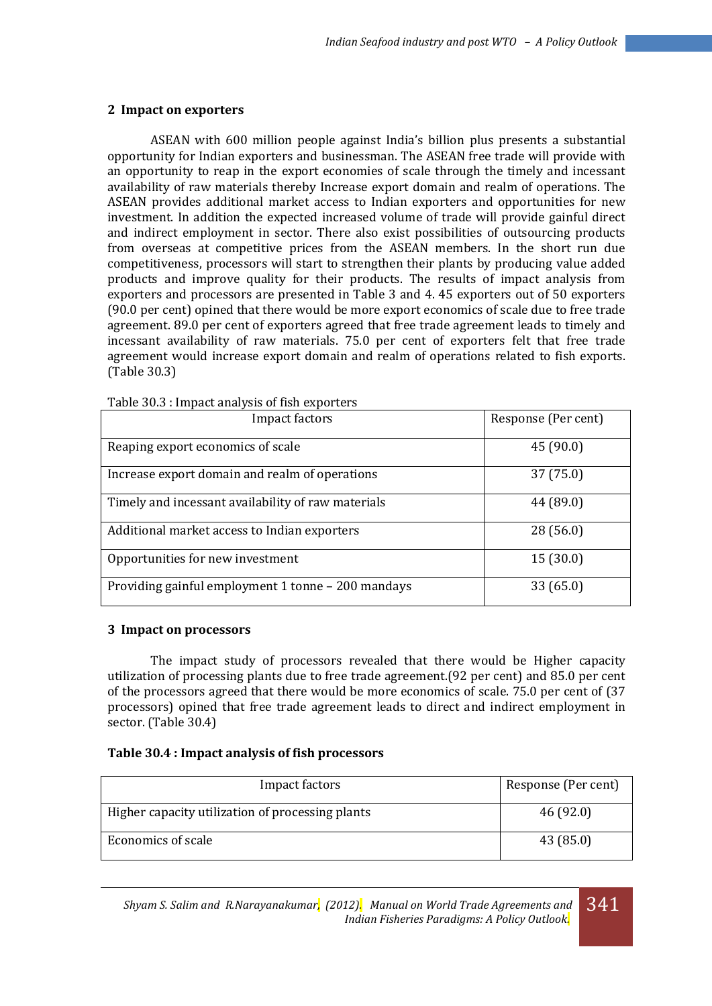### **2 Impact on exporters**

ASEAN with 600 million people against India's billion plus presents a substantial opportunity for Indian exporters and businessman. The ASEAN free trade will provide with an opportunity to reap in the export economies of scale through the timely and incessant availability of raw materials thereby Increase export domain and realm of operations. The ASEAN provides additional market access to Indian exporters and opportunities for new investment. In addition the expected increased volume of trade will provide gainful direct and indirect employment in sector. There also exist possibilities of outsourcing products from overseas at competitive prices from the ASEAN members. In the short run due competitiveness, processors will start to strengthen their plants by producing value added products and improve quality for their products. The results of impact analysis from exporters and processors are presented in Table 3 and 4. 45 exporters out of 50 exporters (90.0 per cent) opined that there would be more export economics of scale due to free trade agreement. 89.0 per cent of exporters agreed that free trade agreement leads to timely and incessant availability of raw materials. 75.0 per cent of exporters felt that free trade agreement would increase export domain and realm of operations related to fish exports. (Table 30.3)

| Impact factors                                     | Response (Per cent) |
|----------------------------------------------------|---------------------|
| Reaping export economics of scale                  | 45 (90.0)           |
| Increase export domain and realm of operations     | 37 (75.0)           |
| Timely and incessant availability of raw materials | 44 (89.0)           |
| Additional market access to Indian exporters       | 28(56.0)            |
| Opportunities for new investment                   | 15(30.0)            |
| Providing gainful employment 1 tonne - 200 mandays | 33 (65.0)           |

Table 30.3 : Impact analysis of fish exporters

#### **3 Impact on processors**

The impact study of processors revealed that there would be Higher capacity utilization of processing plants due to free trade agreement.(92 per cent) and 85.0 per cent of the processors agreed that there would be more economics of scale. 75.0 per cent of (37 processors) opined that free trade agreement leads to direct and indirect employment in sector. (Table 30.4)

### **Table 30.4 : Impact analysis of fish processors**

| Impact factors                                   | Response (Per cent) |
|--------------------------------------------------|---------------------|
| Higher capacity utilization of processing plants | 46(92.0)            |
| Economics of scale                               | 43 (85.0)           |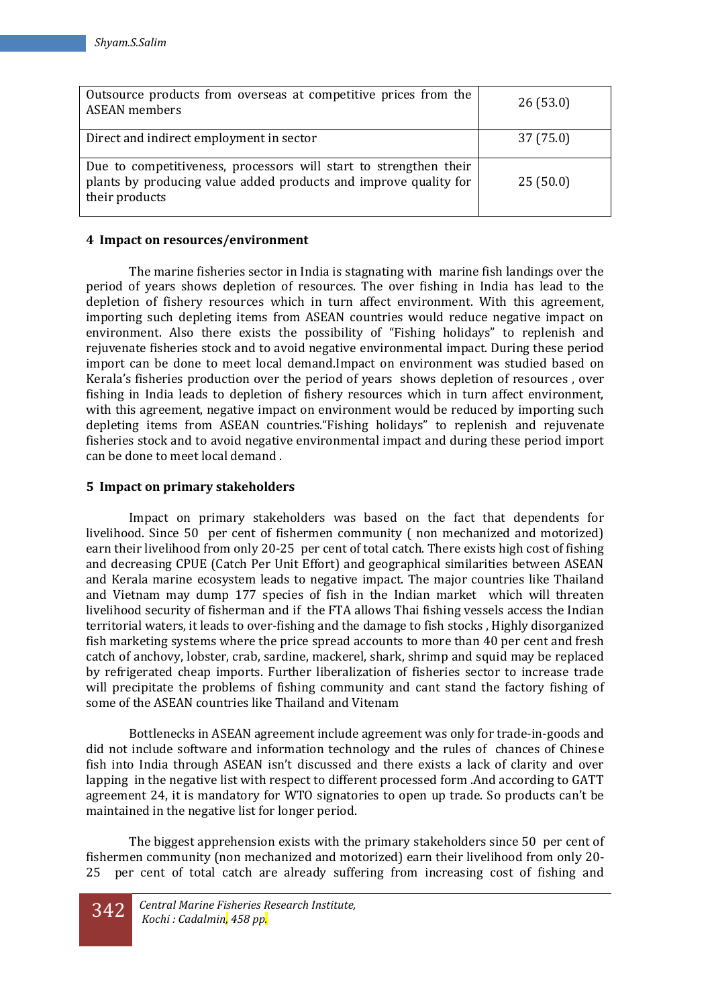| Outsource products from overseas at competitive prices from the<br><b>ASEAN</b> members                                                                 | 26(53.0)  |
|---------------------------------------------------------------------------------------------------------------------------------------------------------|-----------|
| Direct and indirect employment in sector                                                                                                                | 37 (75.0) |
| Due to competitiveness, processors will start to strengthen their<br>plants by producing value added products and improve quality for<br>their products | 25(50.0)  |

## **4 Impact on resources/environment**

The marine fisheries sector in India is stagnating with marine fish landings over the period of years shows depletion of resources. The over fishing in India has lead to the depletion of fishery resources which in turn affect environment. With this agreement, importing such depleting items from ASEAN countries would reduce negative impact on environment. Also there exists the possibility of "Fishing holidays" to replenish and rejuvenate fisheries stock and to avoid negative environmental impact. During these period import can be done to meet local demand.Impact on environment was studied based on Kerala's fisheries production over the period of years shows depletion of resources , over fishing in India leads to depletion of fishery resources which in turn affect environment, with this agreement, negative impact on environment would be reduced by importing such depleting items from ASEAN countries."Fishing holidays" to replenish and rejuvenate fisheries stock and to avoid negative environmental impact and during these period import can be done to meet local demand .

## **5 Impact on primary stakeholders**

Impact on primary stakeholders was based on the fact that dependents for livelihood. Since 50 per cent of fishermen community ( non mechanized and motorized) earn their livelihood from only 20-25 per cent of total catch. There exists high cost of fishing and decreasing CPUE (Catch Per Unit Effort) and geographical similarities between ASEAN and Kerala marine ecosystem leads to negative impact. The major countries like Thailand and Vietnam may dump 177 species of fish in the Indian market which will threaten livelihood security of fisherman and if the FTA allows Thai fishing vessels access the Indian territorial waters, it leads to over-fishing and the damage to fish stocks , Highly disorganized fish marketing systems where the price spread accounts to more than 40 per cent and fresh catch of anchovy, lobster, crab, sardine, mackerel, shark, shrimp and squid may be replaced by refrigerated cheap imports. Further liberalization of fisheries sector to increase trade will precipitate the problems of fishing community and cant stand the factory fishing of some of the ASEAN countries like Thailand and Vitenam

Bottlenecks in ASEAN agreement include agreement was only for trade-in-goods and did not include software and information technology and the rules of chances of Chinese fish into India through ASEAN isn't discussed and there exists a lack of clarity and over lapping in the negative list with respect to different processed form .And according to GATT agreement 24, it is mandatory for WTO signatories to open up trade. So products can't be maintained in the negative list for longer period.

The biggest apprehension exists with the primary stakeholders since 50 per cent of fishermen community (non mechanized and motorized) earn their livelihood from only 20- 25 per cent of total catch are already suffering from increasing cost of fishing and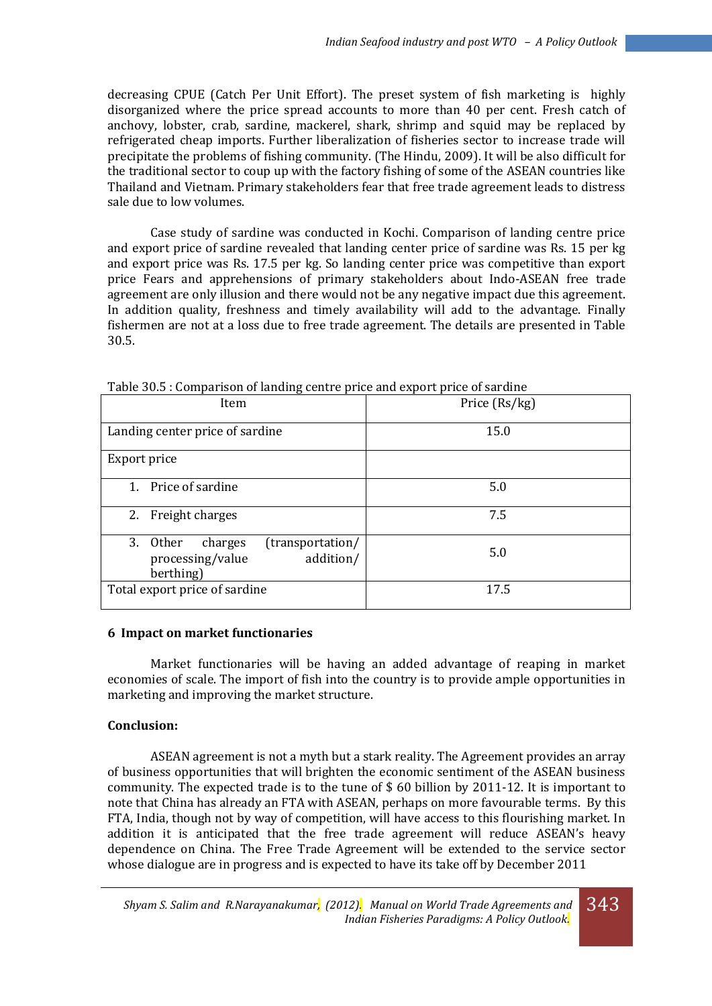decreasing CPUE (Catch Per Unit Effort). The preset system of fish marketing is highly disorganized where the price spread accounts to more than 40 per cent. Fresh catch of anchovy, lobster, crab, sardine, mackerel, shark, shrimp and squid may be replaced by refrigerated cheap imports. Further liberalization of fisheries sector to increase trade will precipitate the problems of fishing community. (The Hindu, 2009). It will be also difficult for the traditional sector to coup up with the factory fishing of some of the ASEAN countries like Thailand and Vietnam. Primary stakeholders fear that free trade agreement leads to distress sale due to low volumes.

Case study of sardine was conducted in Kochi. Comparison of landing centre price and export price of sardine revealed that landing center price of sardine was Rs. 15 per kg and export price was Rs. 17.5 per kg. So landing center price was competitive than export price Fears and apprehensions of primary stakeholders about Indo-ASEAN free trade agreement are only illusion and there would not be any negative impact due this agreement. In addition quality, freshness and timely availability will add to the advantage. Finally fishermen are not at a loss due to free trade agreement. The details are presented in Table 30.5.

| Table bold't domparison of landing centre price and export price of surante           |               |  |
|---------------------------------------------------------------------------------------|---------------|--|
| Item                                                                                  | Price (Rs/kg) |  |
| Landing center price of sardine                                                       | 15.0          |  |
| Export price                                                                          |               |  |
| 1. Price of sardine                                                                   | 5.0           |  |
| 2. Freight charges                                                                    | 7.5           |  |
| (transportation/<br>3. Other<br>charges<br>addition/<br>processing/value<br>berthing) | 5.0           |  |
| Total export price of sardine                                                         | 17.5          |  |

Table 30.5 : Comparison of landing centre price and export price of sardine

#### **6 Impact on market functionaries**

Market functionaries will be having an added advantage of reaping in market economies of scale. The import of fish into the country is to provide ample opportunities in marketing and improving the market structure.

## **Conclusion:**

ASEAN agreement is not a myth but a stark reality. The Agreement provides an array of business opportunities that will brighten the economic sentiment of the ASEAN business community. The expected trade is to the tune of \$ 60 billion by 2011-12. It is important to note that China has already an FTA with ASEAN, perhaps on more favourable terms. By this FTA, India, though not by way of competition, will have access to this flourishing market. In addition it is anticipated that the free trade agreement will reduce ASEAN's heavy dependence on China. The Free Trade Agreement will be extended to the service sector whose dialogue are in progress and is expected to have its take off by December 2011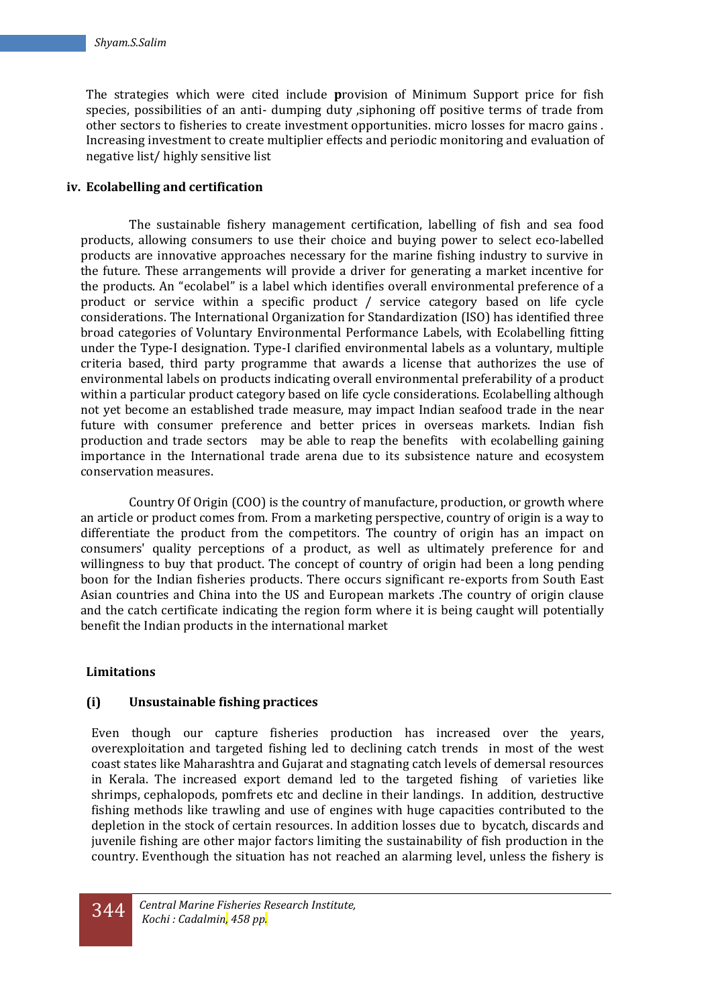The strategies which were cited include **p**rovision of Minimum Support price for fish species, possibilities of an anti- dumping duty ,siphoning off positive terms of trade from other sectors to fisheries to create investment opportunities. micro losses for macro gains . Increasing investment to create multiplier effects and periodic monitoring and evaluation of negative list/ highly sensitive list

## **iv. Ecolabelling and certification**

The sustainable fishery management certification, labelling of fish and sea food products, allowing consumers to use their choice and buying power to select eco-labelled products are innovative approaches necessary for the marine fishing industry to survive in the future. These arrangements will provide a driver for generating a market incentive for the products. An "ecolabel" is a label which identifies overall environmental preference of a product or service within a specific product / service category based on life cycle considerations. The International Organization for Standardization (ISO) has identified three broad categories of Voluntary Environmental Performance Labels, with Ecolabelling fitting under the Type-I designation. Type-I clarified environmental labels as a voluntary, multiple criteria based, third party programme that awards a license that authorizes the use of environmental labels on products indicating overall environmental preferability of a product within a particular product category based on life cycle considerations. Ecolabelling although not yet become an established trade measure, may impact Indian seafood trade in the near future with consumer preference and better prices in overseas markets. Indian fish production and trade sectors may be able to reap the benefits with ecolabelling gaining importance in the International trade arena due to its subsistence nature and ecosystem conservation measures.

 Country Of Origin (COO) is the country of manufacture, production, or growth where an article or product comes from. From a marketing perspective, country of origin is a way to differentiate the product from the competitors. The country of origin has an impact on consumers' quality perceptions of a product, as well as ultimately preference for and willingness to buy that product. The concept of country of origin had been a long pending boon for the Indian fisheries products. There occurs significant re-exports from South East Asian countries and China into the US and European markets .The country of origin clause and the catch certificate indicating the region form where it is being caught will potentially benefit the Indian products in the international market

## **Limitations**

## **(i) Unsustainable fishing practices**

Even though our capture fisheries production has increased over the years, overexploitation and targeted fishing led to declining catch trends in most of the west coast states like Maharashtra and Gujarat and stagnating catch levels of demersal resources in Kerala. The increased export demand led to the targeted fishing of varieties like shrimps, cephalopods, pomfrets etc and decline in their landings. In addition, destructive fishing methods like trawling and use of engines with huge capacities contributed to the depletion in the stock of certain resources. In addition losses due to bycatch, discards and juvenile fishing are other major factors limiting the sustainability of fish production in the country. Eventhough the situation has not reached an alarming level, unless the fishery is

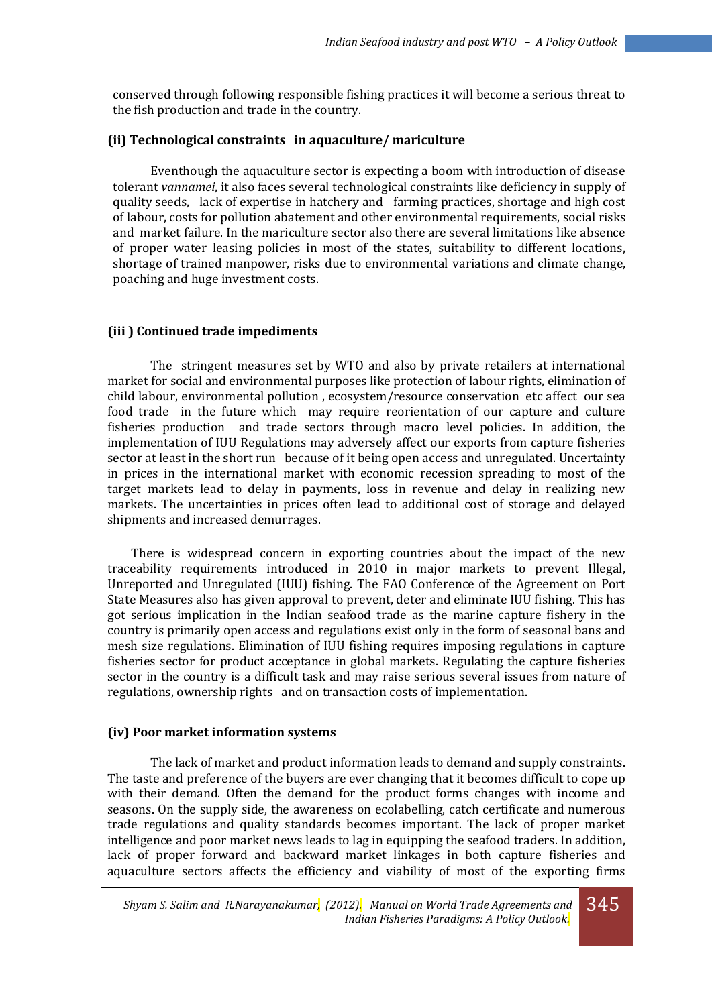conserved through following responsible fishing practices it will become a serious threat to the fish production and trade in the country.

#### **(ii) Technological constraints in aquaculture/ mariculture**

Eventhough the aquaculture sector is expecting a boom with introduction of disease tolerant *vannamei*, it also faces several technological constraints like deficiency in supply of quality seeds, lack of expertise in hatchery and farming practices, shortage and high cost of labour, costs for pollution abatement and other environmental requirements, social risks and market failure. In the mariculture sector also there are several limitations like absence of proper water leasing policies in most of the states, suitability to different locations, shortage of trained manpower, risks due to environmental variations and climate change, poaching and huge investment costs.

#### **(iii ) Continued trade impediments**

The stringent measures set by WTO and also by private retailers at international market for social and environmental purposes like protection of labour rights, elimination of child labour, environmental pollution , ecosystem/resource conservation etc affect our sea food trade in the future which may require reorientation of our capture and culture fisheries production and trade sectors through macro level policies. In addition, the implementation of IUU Regulations may adversely affect our exports from capture fisheries sector at least in the short run because of it being open access and unregulated. Uncertainty in prices in the international market with economic recession spreading to most of the target markets lead to delay in payments, loss in revenue and delay in realizing new markets. The uncertainties in prices often lead to additional cost of storage and delayed shipments and increased demurrages.

 There is widespread concern in exporting countries about the impact of the new traceability requirements introduced in 2010 in major markets to prevent Illegal, Unreported and Unregulated (IUU) fishing. The FAO Conference of the Agreement on Port State Measures also has given approval to prevent, deter and eliminate IUU fishing. This has got serious implication in the Indian seafood trade as the marine capture fishery in the country is primarily open access and regulations exist only in the form of seasonal bans and mesh size regulations. Elimination of IUU fishing requires imposing regulations in capture fisheries sector for product acceptance in global markets. Regulating the capture fisheries sector in the country is a difficult task and may raise serious several issues from nature of regulations, ownership rights and on transaction costs of implementation.

#### **(iv) Poor market information systems**

The lack of market and product information leads to demand and supply constraints. The taste and preference of the buyers are ever changing that it becomes difficult to cope up with their demand. Often the demand for the product forms changes with income and seasons. On the supply side, the awareness on ecolabelling, catch certificate and numerous trade regulations and quality standards becomes important. The lack of proper market intelligence and poor market news leads to lag in equipping the seafood traders. In addition, lack of proper forward and backward market linkages in both capture fisheries and aquaculture sectors affects the efficiency and viability of most of the exporting firms

345